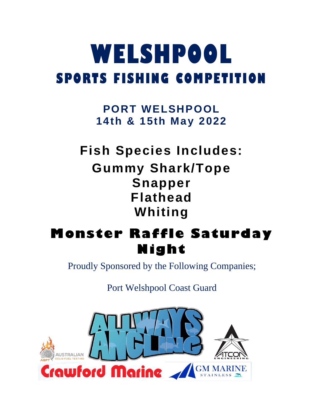# **WELSHPOOL SPORTS FISHING COMPETITION**

**PORT WELSHPOOL 14th & 15th May 2022**

**Fish Species Includes: Gummy Shark/Tope Snapper Flathead Whiting**

# **Monster Raffle Saturday Night**

Proudly Sponsored by the Following Companies;

Port Welshpool Coast Guard

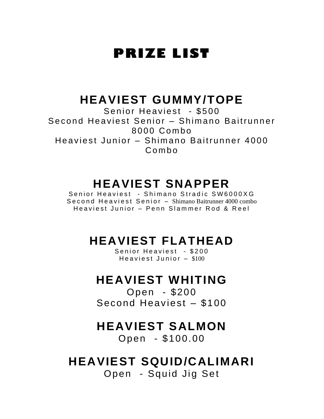## **PRIZE LIST**

### **HEAVIEST GUMMY/TOPE**

Senior Heaviest - \$500 Second Heaviest Senior – Shimano Baitrunner 8 0 0 0 Co m bo Heaviest Junior – Shimano Baitrunner 4000 Co m b o

### **HEAVIEST SNAPPER**

Senior Heaviest - Shimano Stradic SW6000XG Second Heaviest Senior - Shimano Baitrunner 4000 combo Heaviest Junior – Penn Slammer Rod & Reel

### **HEAVIEST FLATHEAD**

Senior Heaviest - \$200 Heaviest Junior  $-$  \$100

### **HEAVIEST WHITING**

Open - \$200 Second Heaviest – \$100

### **HEAVIEST SALMON**

Open - \$100.00

### **HEAVIEST SQUID/CALIMARI**

Open - Squid Jig Set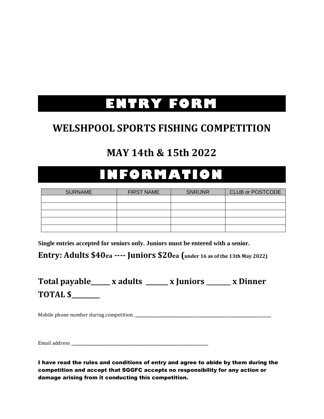# **ENTRY FORM**

### **WELSHPOOL SPORTS FISHING COMPETITION**

### **MAY 14th & 15th 2022**

# **INFORMATION**

| <b>SURNAME</b> | <b>FIRST NAME</b> | SNR/JNR | <b>CLUB or POSTCODE</b> |
|----------------|-------------------|---------|-------------------------|
|                |                   |         |                         |
|                |                   |         |                         |
|                |                   |         |                         |
|                |                   |         |                         |
|                |                   |         |                         |

**Single entries accepted for seniors only. Juniors must be entered with a senior.**

**Entry: Adults \$40ea ---- Juniors \$20ea (under 16 as of the 13th May 2022)**

### Total payable\_\_\_\_\_ x adults \_\_\_\_\_ x Juniors \_\_\_\_\_ x Dinner **TOTAL \$\_\_\_\_\_\_\_\_\_**

Mobile phone number during competition \_**\_\_\_\_\_\_\_\_\_\_\_\_\_\_\_\_\_\_\_\_\_\_\_\_\_\_\_\_\_\_\_\_\_\_\_\_\_\_\_\_\_\_\_\_\_\_\_\_\_\_\_\_\_\_\_\_\_\_\_\_\_\_\_\_\_\_\_\_\_**

Email address \_**\_\_\_\_\_\_\_\_\_\_\_\_\_\_\_\_\_\_\_\_\_\_\_\_\_\_\_\_\_\_\_\_\_\_\_\_\_\_\_\_\_\_\_\_\_\_\_\_\_\_\_\_\_\_\_\_\_\_\_\_\_\_\_\_\_\_\_\_\_**

I have read the rules and conditions of entry and agree to abide by them during the competition and accept that SGGFC accepts no responsibility for any action or damage arising from it conducting this competition.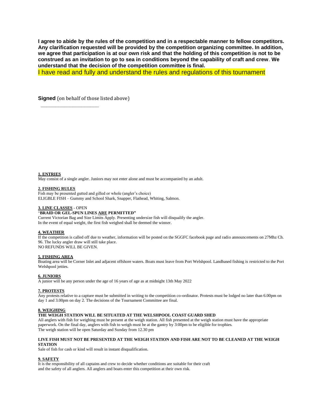**I agree to abide by the rules of the competition and in a respectable manner to fellow competitors. Any clarification requested will be provided by the competition organizing committee. In addition, we agree that participation is at our own risk and that the holding of this competition is not to be construed as an invitation to go to sea in conditions beyond the capability of craft and crew**. **We understand that the decision of the competition committee is final.**

I have read and fully and understand the rules and regulations of this tournament

**Signed** (on behalf of those listed above)

**\_\_\_\_\_\_\_\_\_\_\_\_\_\_\_\_\_\_\_\_**

**1. ENTRIES**

May consist of a single angler. Juniors may not enter alone and must be accompanied by an adult.

#### **2. FISHING RULES**

Fish may be presented gutted and gilled or whole (angler's choice) ELIGBLE FISH – Gummy and School Shark, Snapper, Flathead, Whiting, Salmon.

#### **3. LINE CLASSES** - OPEN

#### "**BRAID OR GEL-SPUN LINES ARE PERMITTED"**

Current Victorian Bag and Size Limits Apply. Presenting undersize fish will disqualify the angler. In the event of equal weight, the first fish weighed shall be deemed the winner.

#### **4. WEATHER**

If the competition is called off due to weather, information will be posted on the SGGFC facebook page and radio announcements on 27Mhz Ch. 96. The lucky angler draw will still take place. NO REFUNDS WILL BE GIVEN.

#### **5. FISHING AREA**

Boating area will be Corner Inlet and adjacent offshore waters. Boats must leave from Port Welshpool. Landbased fishing is restricted to the Port Welshpool jetties.

#### **6. JUNIORS**

A junior will be any person under the age of 16 years of age as at midnight 13th May 2022

#### **7. PROTESTS**

Any protests relative to a capture must be submitted in writing to the competition co-ordinator. Protests must be lodged no later than 6.00pm on day 1 and 3.00pm on day 2. The decisions of the Tournament Committee are final.

#### **8. WEIGHING**

#### **THE WEIGH STATION WILL BE SITUATED AT THE WELSHPOOL COAST GUARD SHED**

All anglers with fish for weighing must be present at the weigh station. All fish presented at the weigh station must have the appropriate paperwork. On the final day, anglers with fish to weigh must be at the gantry by 3:00pm to be eligible for trophies. The weigh station will be open Saturday and Sunday from 12.30 pm

#### **LIVE FISH MUST NOT BE PRESENTED AT THE WEIGH STATION AND FISH ARE NOT TO BE CLEANED AT THE WEIGH STATION**

Sale of fish for cash or kind will result in instant disqualification.

#### **9. SAFETY**

It is the responsibility of all captains and crew to decide whether conditions are suitable for their craft and the safety of all anglers. All anglers and boats enter this competition at their own risk.